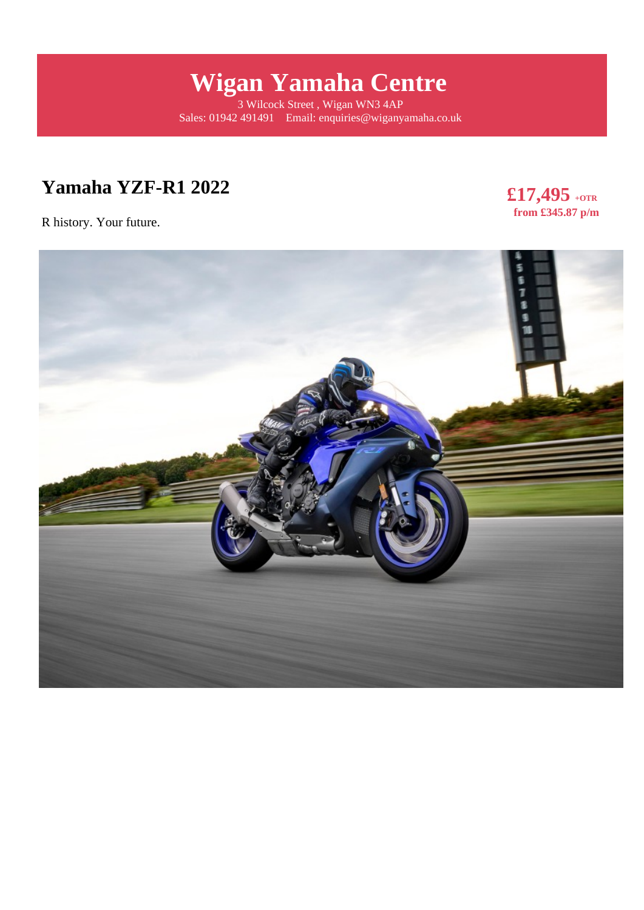# **Wigan Yamaha Centre**

3 Wilcock Street , Wigan WN3 4AP Sales: 01942 491491 Email: enquiries@wiganyamaha.co.uk

## **Yamaha YZF-R1 2022**

R history. Your future.

**£17,495 +OTR from £345.87 p/m** 

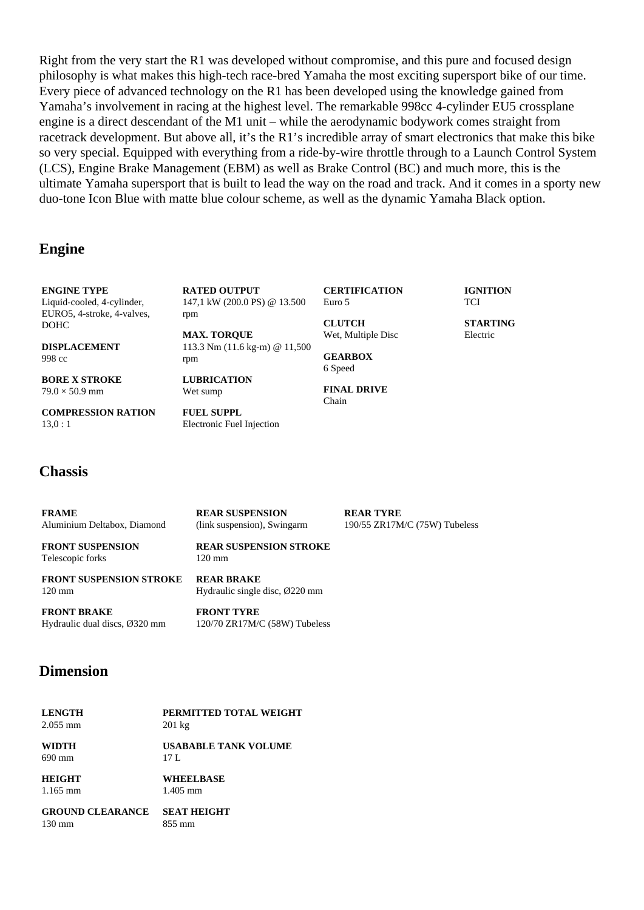Right from the very start the R1 was developed without compromise, and this pure and focused design philosophy is what makes this high-tech race-bred Yamaha the most exciting supersport bike of our time. Every piece of advanced technology on the R1 has been developed using the knowledge gained from Yamaha's involvement in racing at the highest level. The remarkable 998cc 4-cylinder EU5 crossplane engine is a direct descendant of the M1 unit – while the aerodynamic bodywork comes straight from racetrack development. But above all, it's the R1's incredible array of smart electronics that make this bike so very special. Equipped with everything from a ride-by-wire throttle through to a Launch Control System (LCS), Engine Brake Management (EBM) as well as Brake Control (BC) and much more, this is the ultimate Yamaha supersport that is built to lead the way on the road and track. And it comes in a sporty new duo-tone Icon Blue with matte blue colour scheme, as well as the dynamic Yamaha Black option.

#### **Engine**

**ENGINE TYPE** Liquid-cooled, 4-cylinder, EURO5, 4-stroke, 4-valves, DOHC

**DISPLACEMENT** 998 cc

**BORE X STROKE**  $79.0 \times 50.9$  mm

**COMPRESSION RATION**

**RATED OUTPUT** 147,1 kW (200.0 PS) @ 13.500 rpm

113.3 Nm (11.6 kg-m) @ 11,500

**MAX. TORQUE**

**LUBRICATION** Wet sump

**FUEL SUPPL**

Electronic Fuel Injection

rpm

**CERTIFICATION** Euro 5

**CLUTCH** Wet, Multiple Disc

**GEARBOX** 6 Speed

**FINAL DRIVE** Chain

**TCI** 

**STARTING** Electric

**IGNITION**

13,0 : 1

#### **Chassis**

**FRAME** Aluminium Deltabox, Diamond **FRONT SUSPENSION** Telescopic forks **FRONT SUSPENSION STROKE** 120 mm **REAR SUSPENSION** (link suspension), Swingarm **REAR SUSPENSION STROKE** 120 mm **REAR BRAKE** Hydraulic single disc, Ø220 mm

**FRONT BRAKE** Hydraulic dual discs, Ø320 mm 120/70 ZR17M/C (58W) Tubeless

#### **Dimension**

| <b>LENGTH</b> | PERMITTED TOTAL WEIGHT |
|---------------|------------------------|
| $2.055$ mm    | $201 \text{ kg}$       |

**WIDTH** 690 mm

**USABABLE TANK VOLUME** 17 L

**HEIGHT** 1.165 mm **WHEELBASE** 1.405 mm

**GROUND CLEARANCE** 130 mm **SEAT HEIGHT** 855 mm

**FRONT TYRE**

#### **REAR TYRE** 190/55 ZR17M/C (75W) Tubeless